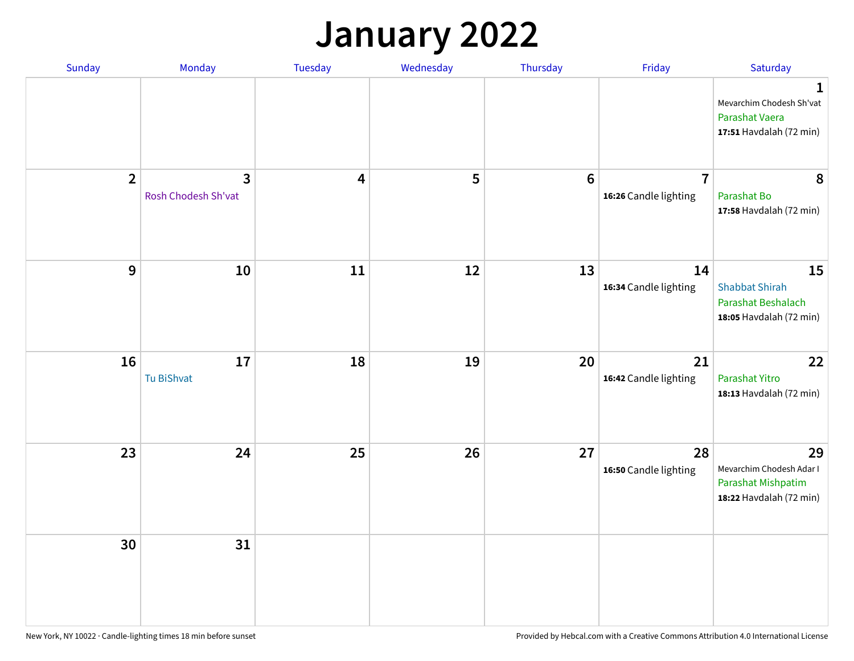#### **January 2022**

| Sunday           | Monday                                | Tuesday                 | Wednesday | Thursday        | Friday                                  | Saturday                                                                        |
|------------------|---------------------------------------|-------------------------|-----------|-----------------|-----------------------------------------|---------------------------------------------------------------------------------|
|                  |                                       |                         |           |                 |                                         | 1<br>Mevarchim Chodesh Sh'vat<br>Parashat Vaera<br>17:51 Havdalah (72 min)      |
| $\overline{2}$   | $\overline{3}$<br>Rosh Chodesh Sh'vat | $\overline{\mathbf{4}}$ | 5         | $6\phantom{1}6$ | $\overline{7}$<br>16:26 Candle lighting | 8<br>Parashat Bo<br>17:58 Havdalah (72 min)                                     |
| $\boldsymbol{9}$ | ${\bf 10}$                            | 11                      | 12        | 13              | 14<br>16:34 Candle lighting             | 15<br><b>Shabbat Shirah</b><br>Parashat Beshalach<br>18:05 Havdalah (72 min)    |
| 16               | $17\,$<br>Tu BiShvat                  | 18                      | 19        | 20              | 21<br>16:42 Candle lighting             | 22<br>Parashat Yitro<br>18:13 Havdalah (72 min)                                 |
| 23               | 24                                    | 25                      | 26        | 27              | 28<br>16:50 Candle lighting             | 29<br>Mevarchim Chodesh Adar I<br>Parashat Mishpatim<br>18:22 Havdalah (72 min) |
| 30               | 31                                    |                         |           |                 |                                         |                                                                                 |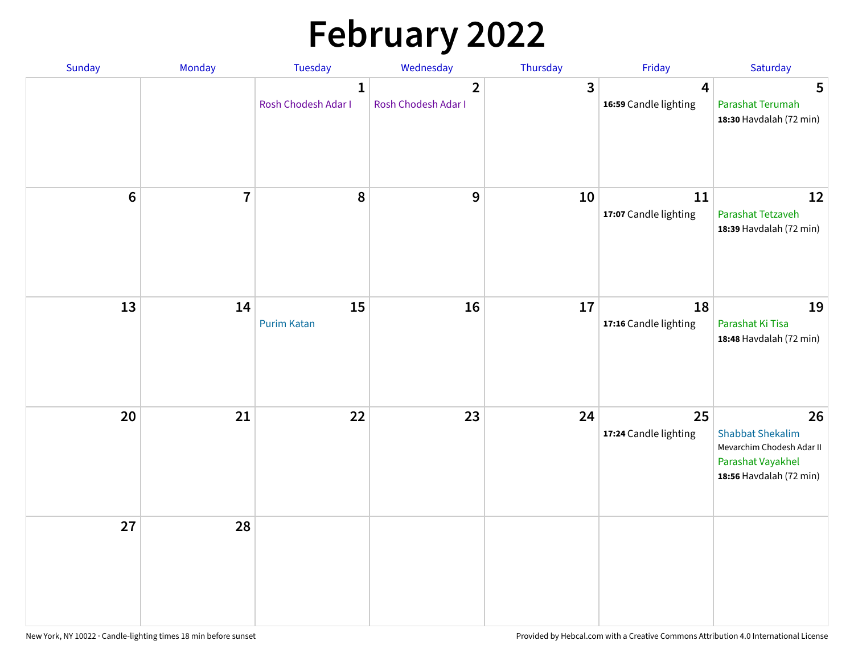# **February 2022**

| Sunday | Monday                  | <b>Tuesday</b>                      | Wednesday                           | Thursday     | Friday                      | Saturday                                                                                                   |
|--------|-------------------------|-------------------------------------|-------------------------------------|--------------|-----------------------------|------------------------------------------------------------------------------------------------------------|
|        |                         | $\mathbf{1}$<br>Rosh Chodesh Adar I | $\mathbf{2}$<br>Rosh Chodesh Adar I | $\mathbf{3}$ | 4<br>16:59 Candle lighting  | 5<br>Parashat Terumah<br>18:30 Havdalah (72 min)                                                           |
| $6\,$  | $\overline{\mathbf{7}}$ | 8                                   | 9                                   | 10           | 11<br>17:07 Candle lighting | 12<br>Parashat Tetzaveh<br>18:39 Havdalah (72 min)                                                         |
| 13     | 14                      | 15<br><b>Purim Katan</b>            | 16                                  | 17           | 18<br>17:16 Candle lighting | 19<br>Parashat Ki Tisa<br>18:48 Havdalah (72 min)                                                          |
| 20     | 21                      | 22                                  | 23                                  | 24           | 25<br>17:24 Candle lighting | 26<br><b>Shabbat Shekalim</b><br>Mevarchim Chodesh Adar II<br>Parashat Vayakhel<br>18:56 Havdalah (72 min) |
| 27     | 28                      |                                     |                                     |              |                             |                                                                                                            |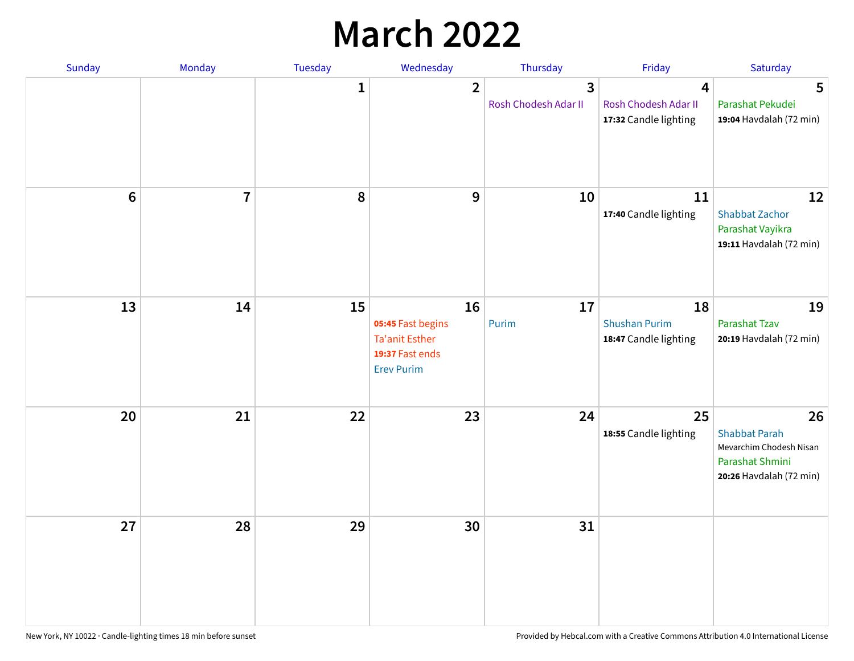## **March 2022**

| Sunday         | Monday         | <b>Tuesday</b> | Wednesday                                                                                | Thursday                  | Friday                                              | Saturday                                                                                            |
|----------------|----------------|----------------|------------------------------------------------------------------------------------------|---------------------------|-----------------------------------------------------|-----------------------------------------------------------------------------------------------------|
|                |                | $\mathbf{1}$   | $\overline{2}$                                                                           | 3<br>Rosh Chodesh Adar II | 4<br>Rosh Chodesh Adar II<br>17:32 Candle lighting  | 5<br>Parashat Pekudei<br>19:04 Havdalah (72 min)                                                    |
| $6\phantom{1}$ | $\overline{7}$ | 8              | 9                                                                                        | 10                        | 11<br>17:40 Candle lighting                         | 12<br><b>Shabbat Zachor</b><br>Parashat Vayikra<br>19:11 Havdalah (72 min)                          |
| 13             | 14             | 15             | 16<br>05:45 Fast begins<br><b>Ta'anit Esther</b><br>19:37 Fast ends<br><b>Erev Purim</b> | 17<br>Purim               | 18<br><b>Shushan Purim</b><br>18:47 Candle lighting | 19<br>Parashat Tzav<br>20:19 Havdalah (72 min)                                                      |
| 20             | 21             | 22             | 23                                                                                       | 24                        | 25<br>18:55 Candle lighting                         | 26<br><b>Shabbat Parah</b><br>Mevarchim Chodesh Nisan<br>Parashat Shmini<br>20:26 Havdalah (72 min) |
| 27             | 28             | 29             | 30                                                                                       | 31                        |                                                     |                                                                                                     |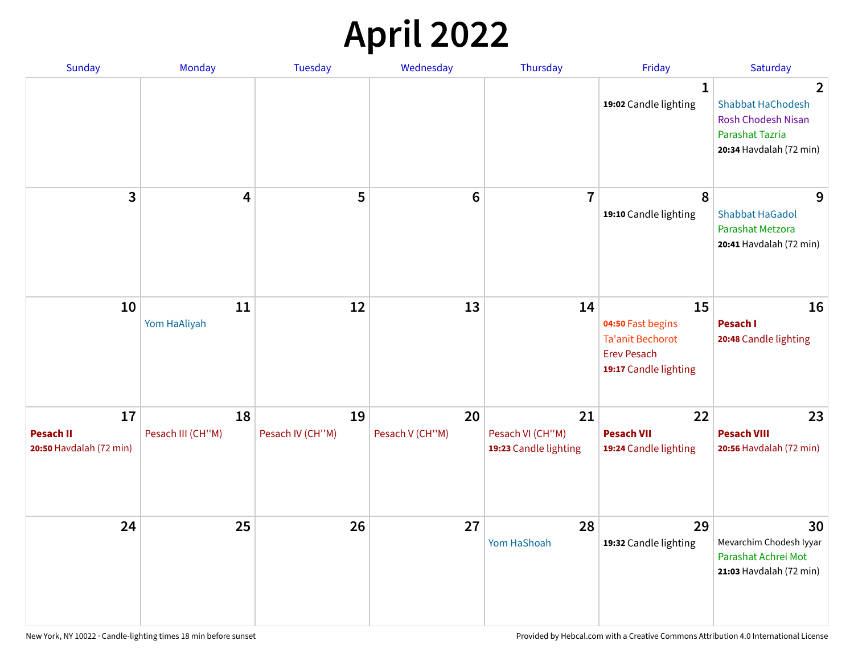## **April 2022**

| <b>Sunday</b>                                     | Monday                  | <b>Tuesday</b>         | Wednesday             | Thursday                                        | Friday                                                                                     | Saturday                                                                                                 |
|---------------------------------------------------|-------------------------|------------------------|-----------------------|-------------------------------------------------|--------------------------------------------------------------------------------------------|----------------------------------------------------------------------------------------------------------|
|                                                   |                         |                        |                       |                                                 | $\mathbf{1}$<br>19:02 Candle lighting                                                      | 2<br><b>Shabbat HaChodesh</b><br><b>Rosh Chodesh Nisan</b><br>Parashat Tazria<br>20:34 Havdalah (72 min) |
| 3                                                 | 4                       | 5                      | $6\phantom{1}$        | $\overline{7}$                                  | 8<br>19:10 Candle lighting                                                                 | 9<br><b>Shabbat HaGadol</b><br>Parashat Metzora<br>20:41 Havdalah (72 min)                               |
| 10                                                | 11<br>Yom HaAliyah      | 12                     | 13                    | 14                                              | 15<br>04:50 Fast begins<br>Ta'anit Bechorot<br><b>Erev Pesach</b><br>19:17 Candle lighting | 16<br>Pesach I<br>20:48 Candle lighting                                                                  |
| 17<br><b>Pesach II</b><br>20:50 Havdalah (72 min) | 18<br>Pesach III (CH"M) | 19<br>Pesach IV (CH"M) | 20<br>Pesach V (CH"M) | 21<br>Pesach VI (CH"M)<br>19:23 Candle lighting | 22<br><b>Pesach VII</b><br>19:24 Candle lighting                                           | 23<br><b>Pesach VIII</b><br>20:56 Havdalah (72 min)                                                      |
| 24                                                | 25                      | 26                     | 27                    | 28<br>Yom HaShoah                               | 29<br>19:32 Candle lighting                                                                | 30<br>Mevarchim Chodesh Iyyar<br>Parashat Achrei Mot<br>21:03 Havdalah (72 min)                          |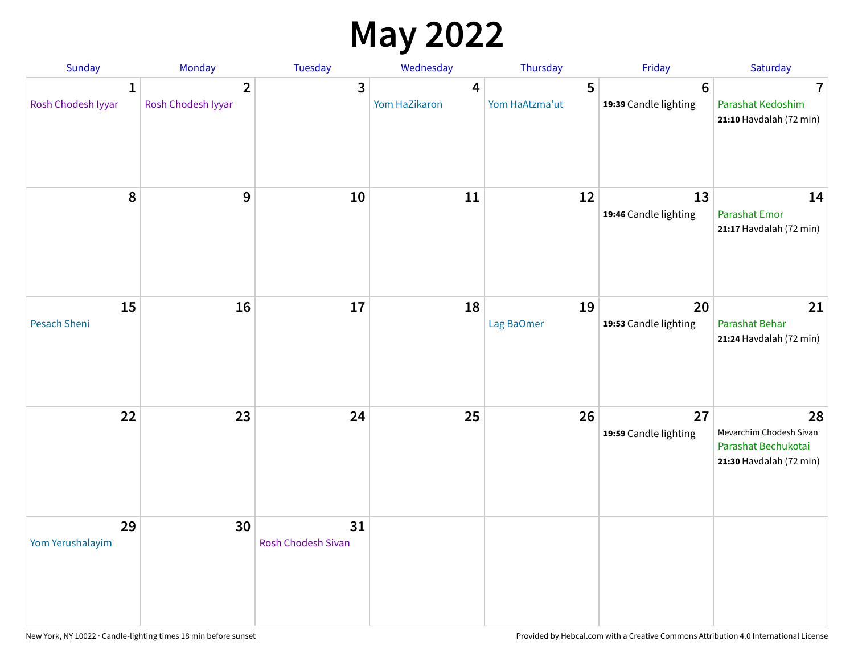## **May 2022**

| Sunday                             | Monday                               | Tuesday                         | Wednesday          | Thursday            | Friday                                   | Saturday                                                                        |
|------------------------------------|--------------------------------------|---------------------------------|--------------------|---------------------|------------------------------------------|---------------------------------------------------------------------------------|
| $\mathbf{1}$<br>Rosh Chodesh Iyyar | $\overline{2}$<br>Rosh Chodesh Iyyar | 3                               | 4<br>Yom HaZikaron | 5<br>Yom HaAtzma'ut | $6\phantom{1}6$<br>19:39 Candle lighting | $\overline{\mathbf{7}}$<br>Parashat Kedoshim<br>21:10 Havdalah (72 min)         |
| 8                                  | 9                                    | 10                              | 11                 | 12                  | 13<br>19:46 Candle lighting              | 14<br><b>Parashat Emor</b><br>21:17 Havdalah (72 min)                           |
| 15<br>Pesach Sheni                 | 16                                   | 17                              | 18                 | 19<br>Lag BaOmer    | 20<br>19:53 Candle lighting              | 21<br>Parashat Behar<br>21:24 Havdalah (72 min)                                 |
| 22                                 | 23                                   | 24                              | 25                 | 26                  | 27<br>19:59 Candle lighting              | 28<br>Mevarchim Chodesh Sivan<br>Parashat Bechukotai<br>21:30 Havdalah (72 min) |
| 29<br>Yom Yerushalayim             | 30                                   | 31<br><b>Rosh Chodesh Sivan</b> |                    |                     |                                          |                                                                                 |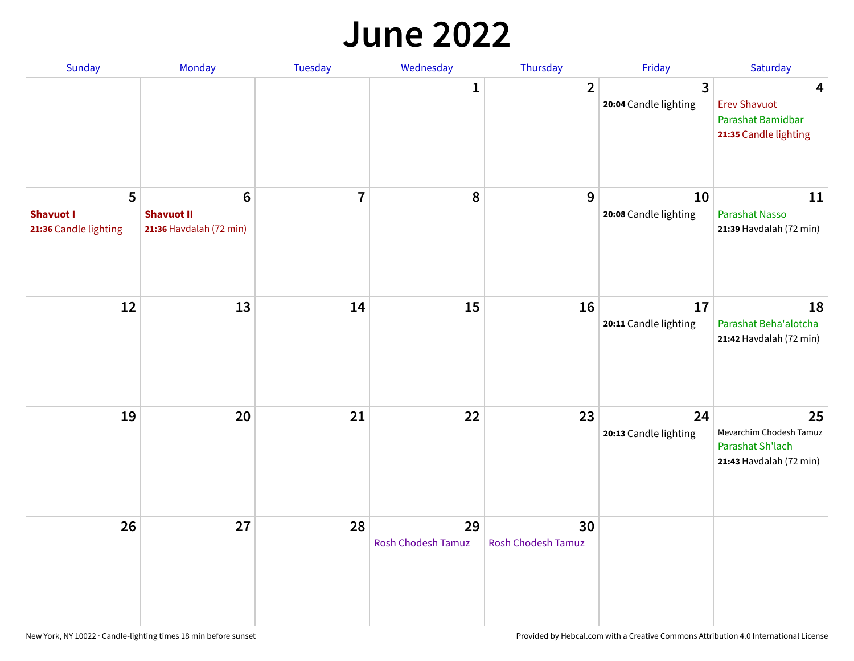#### **June 2022**

| Sunday                                         | Monday                                                         | Tuesday                 | Wednesday                | Thursday                        | Friday                                  | Saturday                                                                     |
|------------------------------------------------|----------------------------------------------------------------|-------------------------|--------------------------|---------------------------------|-----------------------------------------|------------------------------------------------------------------------------|
|                                                |                                                                |                         | 1                        | $\overline{2}$                  | $\overline{3}$<br>20:04 Candle lighting | 4<br><b>Erev Shavuot</b><br>Parashat Bamidbar<br>21:35 Candle lighting       |
| 5<br><b>Shavuot I</b><br>21:36 Candle lighting | $6\phantom{1}$<br><b>Shavuot II</b><br>21:36 Havdalah (72 min) | $\overline{\mathbf{I}}$ | 8                        | 9                               | 10<br>20:08 Candle lighting             | 11<br><b>Parashat Nasso</b><br>21:39 Havdalah (72 min)                       |
| 12                                             | 13                                                             | 14                      | 15                       | 16                              | 17<br>20:11 Candle lighting             | 18<br>Parashat Beha'alotcha<br>21:42 Havdalah (72 min)                       |
| 19                                             | 20                                                             | 21                      | 22                       | 23                              | 24<br>20:13 Candle lighting             | 25<br>Mevarchim Chodesh Tamuz<br>Parashat Sh'lach<br>21:43 Havdalah (72 min) |
| 26                                             | 27                                                             | 28                      | 29<br>Rosh Chodesh Tamuz | 30<br><b>Rosh Chodesh Tamuz</b> |                                         |                                                                              |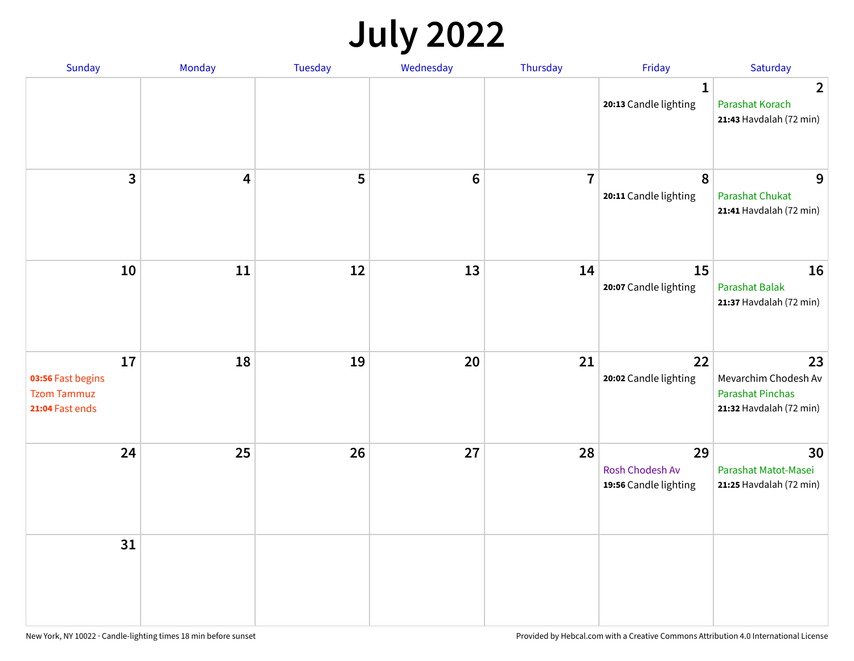## **July 2022**

| Sunday                                                           | Monday | Tuesday | Wednesday       | Thursday       | Friday                                         | Saturday                                                                         |
|------------------------------------------------------------------|--------|---------|-----------------|----------------|------------------------------------------------|----------------------------------------------------------------------------------|
|                                                                  |        |         |                 |                | $\mathbf{1}$<br>20:13 Candle lighting          | $\overline{2}$<br>Parashat Korach<br>21:43 Havdalah (72 min)                     |
| $\overline{\mathbf{3}}$                                          | 4      | 5       | $6\phantom{1}6$ | $\overline{7}$ | 8<br>20:11 Candle lighting                     | 9<br><b>Parashat Chukat</b><br>21:41 Havdalah (72 min)                           |
| 10                                                               | 11     | 12      | 13              | 14             | 15<br>20:07 Candle lighting                    | 16<br>Parashat Balak<br>21:37 Havdalah (72 min)                                  |
| 17<br>03:56 Fast begins<br><b>Tzom Tammuz</b><br>21:04 Fast ends | 18     | 19      | 20              | 21             | 22<br>20:02 Candle lighting                    | 23<br>Mevarchim Chodesh Av<br><b>Parashat Pinchas</b><br>21:32 Havdalah (72 min) |
| 24                                                               | 25     | 26      | 27              | 28             | 29<br>Rosh Chodesh Av<br>19:56 Candle lighting | 30<br>Parashat Matot-Masei<br>21:25 Havdalah (72 min)                            |
| 31                                                               |        |         |                 |                |                                                |                                                                                  |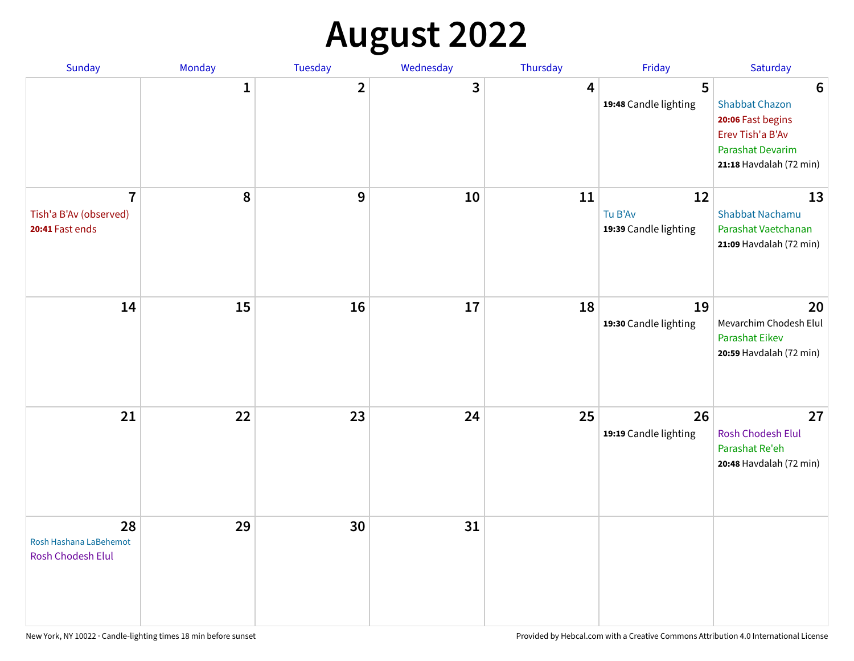# **August 2022**

| Sunday                                                      | Monday       | Tuesday                 | Wednesday | Thursday | Friday                                 | Saturday                                                                                                                         |
|-------------------------------------------------------------|--------------|-------------------------|-----------|----------|----------------------------------------|----------------------------------------------------------------------------------------------------------------------------------|
|                                                             | $\mathbf{1}$ | $\overline{\mathbf{2}}$ | 3         | 4        | 5<br>19:48 Candle lighting             | $6\phantom{1}6$<br><b>Shabbat Chazon</b><br>20:06 Fast begins<br>Erev Tish'a B'Av<br>Parashat Devarim<br>21:18 Havdalah (72 min) |
| $\overline{1}$<br>Tish'a B'Av (observed)<br>20:41 Fast ends | 8            | 9                       | 10        | 11       | 12<br>Tu B'Av<br>19:39 Candle lighting | 13<br><b>Shabbat Nachamu</b><br>Parashat Vaetchanan<br>21:09 Havdalah (72 min)                                                   |
| 14                                                          | 15           | 16                      | 17        | 18       | 19<br>19:30 Candle lighting            | 20<br>Mevarchim Chodesh Elul<br><b>Parashat Eikev</b><br>20:59 Havdalah (72 min)                                                 |
| 21                                                          | 22           | 23                      | 24        | 25       | 26<br>19:19 Candle lighting            | 27<br><b>Rosh Chodesh Elul</b><br>Parashat Re'eh<br>20:48 Havdalah (72 min)                                                      |
| 28<br>Rosh Hashana LaBehemot<br>Rosh Chodesh Elul           | 29           | 30                      | 31        |          |                                        |                                                                                                                                  |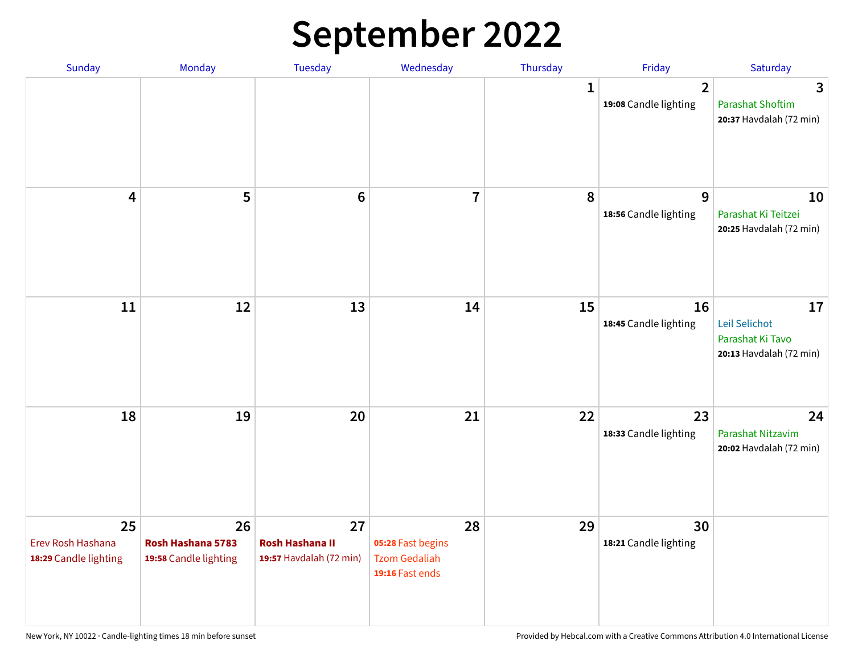## **September 2022**

| Sunday                                           | Monday                                           | Tuesday                                                 | Wednesday                                                          | Thursday | Friday                                  | Saturday                                                           |
|--------------------------------------------------|--------------------------------------------------|---------------------------------------------------------|--------------------------------------------------------------------|----------|-----------------------------------------|--------------------------------------------------------------------|
|                                                  |                                                  |                                                         |                                                                    | 1        | $\overline{2}$<br>19:08 Candle lighting | 3<br><b>Parashat Shoftim</b><br>20:37 Havdalah (72 min)            |
| 4                                                | 5                                                | $6\phantom{1}6$                                         | $\overline{7}$                                                     | 8        | 9<br>18:56 Candle lighting              | 10<br>Parashat Ki Teitzei<br>20:25 Havdalah (72 min)               |
| 11                                               | 12                                               | 13                                                      | 14                                                                 | 15       | 16<br>18:45 Candle lighting             | 17<br>Leil Selichot<br>Parashat Ki Tavo<br>20:13 Havdalah (72 min) |
| 18                                               | 19                                               | 20                                                      | 21                                                                 | 22       | 23<br>18:33 Candle lighting             | 24<br>Parashat Nitzavim<br>20:02 Havdalah (72 min)                 |
| 25<br>Erev Rosh Hashana<br>18:29 Candle lighting | 26<br>Rosh Hashana 5783<br>19:58 Candle lighting | 27<br><b>Rosh Hashana II</b><br>19:57 Havdalah (72 min) | 28<br>05:28 Fast begins<br><b>Tzom Gedaliah</b><br>19:16 Fast ends | 29       | 30<br>18:21 Candle lighting             |                                                                    |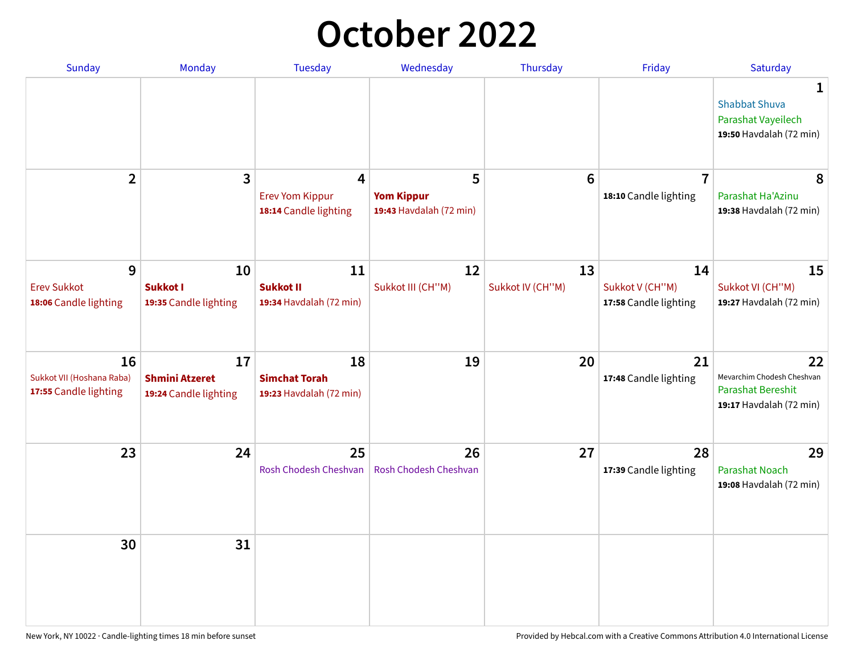## **October 2022**

| Sunday                                                   | Monday                                               | <b>Tuesday</b>                                        | Wednesday                                         | Thursday               | Friday                                         | Saturday                                                                         |
|----------------------------------------------------------|------------------------------------------------------|-------------------------------------------------------|---------------------------------------------------|------------------------|------------------------------------------------|----------------------------------------------------------------------------------|
|                                                          |                                                      |                                                       |                                                   |                        |                                                | 1<br><b>Shabbat Shuva</b><br>Parashat Vayeilech<br>19:50 Havdalah (72 min)       |
| $\overline{2}$                                           | $\overline{\mathbf{3}}$                              | 4<br><b>Erev Yom Kippur</b><br>18:14 Candle lighting  | 5<br><b>Yom Kippur</b><br>19:43 Havdalah (72 min) | $6\phantom{1}6$        | $\overline{7}$<br>18:10 Candle lighting        | 8<br>Parashat Ha'Azinu<br>19:38 Havdalah (72 min)                                |
| 9<br><b>Erev Sukkot</b><br>18:06 Candle lighting         | 10<br><b>Sukkot I</b><br>19:35 Candle lighting       | 11<br><b>Sukkot II</b><br>19:34 Havdalah (72 min)     | 12<br>Sukkot III (CH"M)                           | 13<br>Sukkot IV (CH"M) | 14<br>Sukkot V (CH"M)<br>17:58 Candle lighting | 15<br>Sukkot VI (CH"M)<br>19:27 Havdalah (72 min)                                |
| 16<br>Sukkot VII (Hoshana Raba)<br>17:55 Candle lighting | 17<br><b>Shmini Atzeret</b><br>19:24 Candle lighting | 18<br><b>Simchat Torah</b><br>19:23 Havdalah (72 min) | 19                                                | 20                     | 21<br>17:48 Candle lighting                    | 22<br>Mevarchim Chodesh Cheshvan<br>Parashat Bereshit<br>19:17 Havdalah (72 min) |
| 23                                                       | 24                                                   | 25<br>Rosh Chodesh Cheshvan                           | 26<br>Rosh Chodesh Cheshvan                       | 27                     | 28<br>17:39 Candle lighting                    | 29<br><b>Parashat Noach</b><br>19:08 Havdalah (72 min)                           |
| 30                                                       | 31                                                   |                                                       |                                                   |                        |                                                |                                                                                  |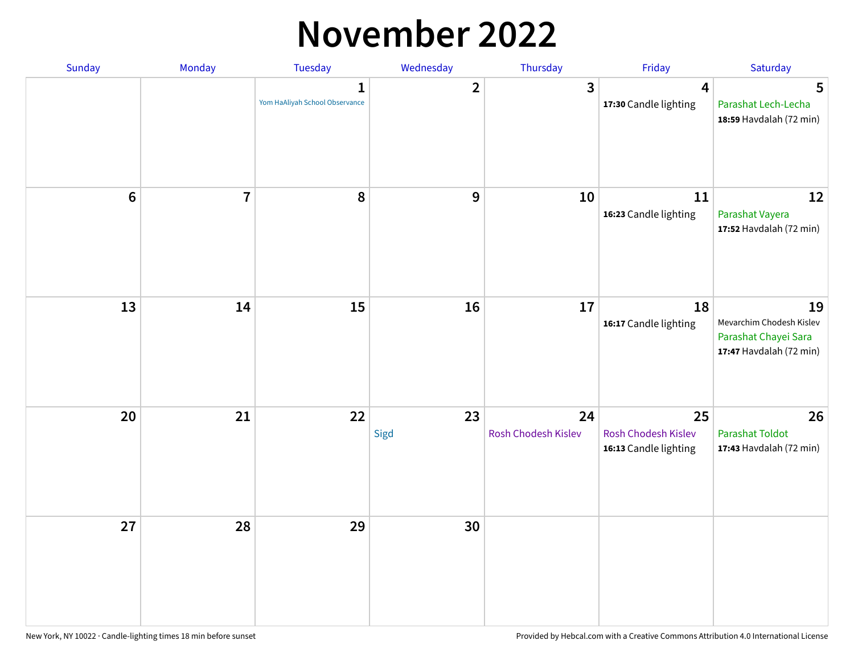#### **November 2022**

| Sunday         | Monday         | Tuesday                             | Wednesday      | Thursday                  | Friday                                             | Saturday                                                                          |
|----------------|----------------|-------------------------------------|----------------|---------------------------|----------------------------------------------------|-----------------------------------------------------------------------------------|
|                |                | 1<br>Yom HaAliyah School Observance | $\overline{2}$ | $\overline{\mathbf{3}}$   | 4<br>17:30 Candle lighting                         | 5<br>Parashat Lech-Lecha<br>18:59 Havdalah (72 min)                               |
| $6\phantom{a}$ | $\overline{7}$ | 8                                   | 9              | 10                        | ${\bf 11}$<br>16:23 Candle lighting                | 12<br>Parashat Vayera<br>17:52 Havdalah (72 min)                                  |
| 13             | 14             | 15                                  | 16             | 17                        | 18<br>16:17 Candle lighting                        | 19<br>Mevarchim Chodesh Kislev<br>Parashat Chayei Sara<br>17:47 Havdalah (72 min) |
| 20             | 21             | 22                                  | 23<br>Sigd     | 24<br>Rosh Chodesh Kislev | 25<br>Rosh Chodesh Kislev<br>16:13 Candle lighting | 26<br><b>Parashat Toldot</b><br>17:43 Havdalah (72 min)                           |
| 27             | 28             | 29                                  | 30             |                           |                                                    |                                                                                   |